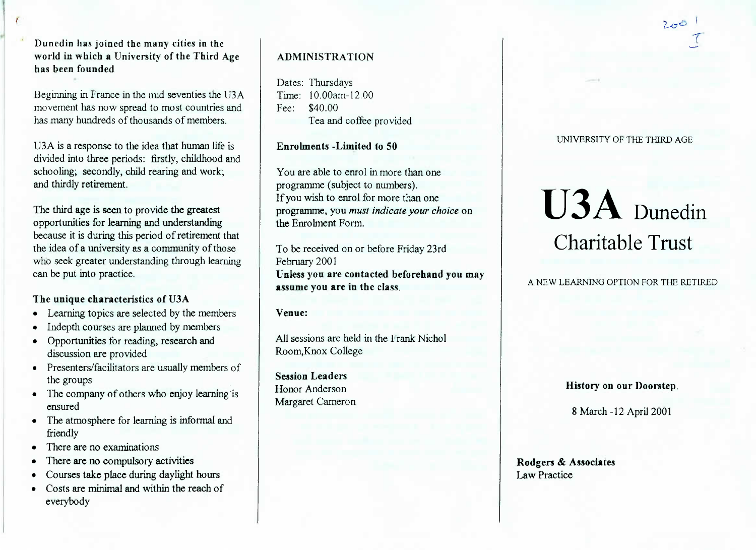**Dunedin has joined the many cities in the world in which a University of the Third Agehas been founded**

Beginning in France in the mid seventies the USA movement has now spread to most countries andhas many hundreds of thousands of members.

USA is a response to the idea that human life is divided into three periods: firstly, childhood andschooling; secondly, child rearing and work;and thirdly retirement.

The third age is seen to provide the greatest opportunities for learning and understanding because it is during this period of retirement that the idea of a university as a community of those who seek greater understanding through learningcan be put into practice.

# **The unique characteristics of USA**

- Learning topics are selected by the members
- Indepth courses are planned by members
- Opportunities for reading, research anddiscussion are provided
- Presenters/facilitators are usually members ofthe groups
- The company of others who enjoy learning isensured
- The atmosphere for learning is informal andfriendly
- There are no examinations
- There are no compulsory activities
- Courses take place during daylight hours
- Costs are minimal and within the reach ofeverybody

# **ADMINISTRATION**

Dates: Thursdays Time: 10.00am-12.00Fee: \$40.00Tea and coffee provided

Enrolments **-Limited to 50**

You are able to enrol in more than oneprogramme (subject to numbers). If you wish to enrol for more than one programme, you *must indicate your choice* onthe Enrolment Form.

To be received on or before Friday 23rdFebruary 2001 **Unless you are contacted beforehand you mayassume you are in the class.**

#### **Venue:**

All sessions are held in the Frank NicholRoom,Knox College

**Session Leaders** Honor AndersonMargaret Cameron UNIVERSITY OF THE THIRD AGE

# **U3A** Dunedin Charitable Trust

A NEW LEARNING OPTION FOR THE RETIRED

**History on our Doorstep.**

8 March-12 April 2001

**Rodgers & Associates**Law Practice